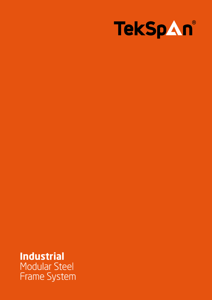

## **Industrial** Modular Steel Frame System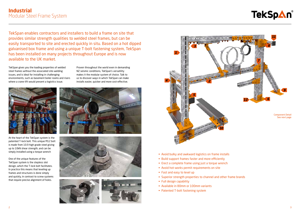TekSpan enables contractors and installers to build a frame on site that provides similar strength qualities to welded steel frames, but can be easily transported to site and erected quickly in situ. Based on a hot dipped galvanised box frame and using a unique T-bolt fastening system, TekSpan has been installed on many projects throughout Europe and is now available to the UK market.

TekSpan gives you the loading properties of welded steel frames without the associated site-welding issues, and is ideal for installing in challenging environments, such as basement boiler rooms and risers where a crane-lift would present a logistics issue.

Proven throughout the world even in demanding NZ seismic conditions, TekSpan's versatility makes it the modular system of choice. Talk to us to discover ways in which TekSpan can make installs easier, quicker and more cost-effective.



At the heart of the TekSpan system is the patented T-lock bolt. This unique M12 bolt is made from 10.9 high grade steel giving up to 10kN shear strength, and can be simply installed using a torque wrench

One of the unique features of the TekSpan system is the stepless slot design, which the T-lock bolt facilitates. In practice this means that leveling up frames and structures is done simply and quickly, in contrast to screw systems that require precise alignment of holes.









Component Detail See next page



- Avoid bulky and awkward logistics on frame installs
- Build support frames faster and more efficiently
- Erect a complete frame using just a torque wrench
- Avoid hot-works permit requirements on site
- Fast and easy to level up
- Superior strength properties to channel and other frame brands
- Full design capability
- Available in 80mm or 100mm variants
- Patented T-bolt fastening system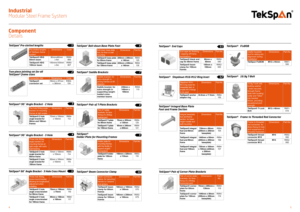| Beam connector<br>clamp, for securing<br>frames to I-beams<br>and girders | <b>Dimensions</b>        | Part-No      |
|---------------------------------------------------------------------------|--------------------------|--------------|
| TekSpan® beam<br>clamp for 80mm<br>frames                                 | 160mm x 160mm<br>x 100mm | R952-<br>070 |
| TekSpan® beam<br>clamp for 100mm<br>frames                                | 180mm x 200mm<br>x 100mm | R952-<br>075 |

#### *TekSpan® 10.9g T-Bolt*

| 10.9g T-bolt with<br>locking washer<br>- locks securely<br>through frame<br>slots with locating<br>collar and "bites"<br>into bracket<br>fixture, providing<br>exceptional joint<br>strength | <b>Dimensions</b>      | Part-No.     |
|----------------------------------------------------------------------------------------------------------------------------------------------------------------------------------------------|------------------------|--------------|
| <b>TekSpan® T-Lock</b><br><b>Bolt</b>                                                                                                                                                        | M <sub>12</sub> x 40mm | R951-<br>510 |

#### *TekSpan® Frame to Threaded Rod Connector*





#### *TekSpan® FixBOB*



| Useful reusable<br>tool for aiding slot<br>alignment during<br>installation | <b>Dimensions</b>  | Part-No.     |
|-----------------------------------------------------------------------------|--------------------|--------------|
| <b>TekSpan FixBOB</b>                                                       | $M12 \times 44$ mm | R951-<br>500 |

# *TekSpan® Integral Base Plate*

|  | <b>Foot and Frame Section</b> |  |
|--|-------------------------------|--|
|  |                               |  |

| Integral baseplate<br>foot and frame<br>section, for lower<br>height installs and<br>wall-mounting | <b>Dimensions</b>                                        | Part-No.     |
|----------------------------------------------------------------------------------------------------|----------------------------------------------------------|--------------|
| TekSpan <sup>®</sup> integral<br>foot and 80mm<br>frame                                            | 720mm x 80mm<br>(200mm x 200mm)<br>baseplate)            | R954-<br>105 |
| TekSpan <sup>®</sup> integral<br>foot and 80mm<br>frame                                            | 1440mm x 80mm<br>(200mm x 200mm)<br>baseplate)           | R954-<br>106 |
| TekSpan <sup>®</sup> integral<br>foot and 100mm<br>frame                                           | 720mm x 100mm<br>x 100mm (220mm<br>x 200mm<br>baseplate) | R954-<br>107 |

### **Component Details**

|                             | <b>TekSpan® Pre-slotted lengths</b>                                                |                         | $\mathbf{1}$            |                                 | <b>TekSpan® Bolt-down Base Plate Foot</b>                                                       |                                                 | 6                   |
|-----------------------------|------------------------------------------------------------------------------------|-------------------------|-------------------------|---------------------------------|-------------------------------------------------------------------------------------------------|-------------------------------------------------|---------------------|
|                             | Pre-slotted lengths<br>of TekSpan frame<br>system                                  | <b>Dimensions</b>       | Code                    |                                 | Bolt-down base plate<br>foot, for floor or wall<br>mounting                                     | <b>Dimensions</b>                               | Part-No.            |
|                             | <b>TekSpan® HDG</b><br>80mm beam                                                   | 80mmx80mm<br>x 6m       | R950-<br>806            |                                 | TekSpan® base plate 200mm x 200mm<br>for 80mm frame                                             | x 140mm                                         | R954-<br>125        |
|                             | TekSpan® HDG<br>100mm beam                                                         | 100mmx100mm<br>x 6m     | R950-<br>807            |                                 | TekSpan® base plate 220mm x 220mm<br>for 100mm frame                                            | x 140mm                                         | R954-<br>135        |
| <b>TekSpan®</b> frame sizes | Two-piece jointing set for all                                                     |                         | 2                       | <b>TekSpan® Saddle Brackets</b> |                                                                                                 |                                                 |                     |
|                             | <b>Connection Set</b>                                                              | <b>Dimensions</b>       | Code                    |                                 | Saddle bracket, for<br>extra strength in                                                        | <b>Dimensions</b>                               | Part-No.            |
|                             | <b>TekSpan®</b><br>connector set                                                   | 59mm x 67mm<br>x 380mm  | R954-<br>150            |                                 | joining frames at 90<br>degrees                                                                 |                                                 |                     |
|                             |                                                                                    |                         |                         |                                 | Saddle bracket, for<br>extra strength in<br>supporting weight-<br>loaded cross-<br>member beams | $230$ mm $x$<br>140 $mm \times$<br><b>100mm</b> | R954-<br>110        |
|                             | TekSpan® 90° Angle Bracket - 2 Hole                                                |                         | $\overline{\mathbf{3}}$ |                                 | <b>TekSpan® Pair of T-Plate Brackets</b>                                                        |                                                 | 8                   |
|                             | Two hole 90deg angle<br>bracket, for mounting<br>frames at right angles            | <b>Dimensions</b>       | Part-No.                |                                 | Pair of T-plate<br>brackets, for face                                                           | <b>Dimensions</b>                               | Part-No.            |
|                             | TekSpan® 2 hole<br>angle bracket for                                               | 70mm x 100mm<br>x 100mm | R954-<br>112            |                                 | fixing of a 90deg<br>vertical joint<br>TekSpan® T-plate                                         | 70mm x 205mm                                    | R954-               |
|                             | 80mm and 100mm                                                                     |                         |                         |                                 |                                                                                                 |                                                 |                     |
|                             | frames                                                                             |                         |                         |                                 | for 80mm frame<br>TekSpan® T-plate<br>for 100mm frame                                           | x 130mm<br>90mm x 240mm<br>x 200mm              | 120<br>R954-<br>121 |
|                             | TekSpan® 90° Angle Bracket - 3 Hole                                                |                         | 4                       | <b>TekSpan®</b>                 |                                                                                                 |                                                 | 9                   |
|                             | Three hole 90deg                                                                   | <b>Dimensions</b>       | Part-No.                |                                 | <b>Holder Plate for Mounting Frames</b>                                                         |                                                 |                     |
|                             | angle bracket, for<br>mounting frames at<br>right angle with extra<br>load bearing |                         |                         |                                 | Holder plate for<br>mounting frames,<br>with the facility to<br>support angled                  | <b>Dimensions</b>                               |                     |
|                             | TekSpan® 3 hole<br>angle bracket for<br>80mm frame                                 | 70mm x 100mm<br>x 150mm | R954-<br>114            |                                 | connections<br>TekSpan® holder<br>plate for 100mm                                               | 160mm x 320mm<br>x 110mm                        | R953-<br>116        |
|                             | TekSpan® 3 hole<br>angle bracket for<br>100mm frame                                | 90mm x 100mm<br>x 150mm | R954-<br>115            |                                 | frame                                                                                           |                                                 | Part-No.            |
|                             | TekSpan® 90° Angle Bracket - 3 Hole Cross Mount                                    |                         |                         |                                 | <b>TekSpan® Beam Connector Clamp</b>                                                            |                                                 | $\overline{10}$     |

#### *TekSpan® Pair of Corner Plate Brackets*

| Pair of corner plate<br>brackets, for face-<br>fixing of a 90deg<br>horizontal joint | <b>Dimensions</b>                              | Part-<br>No. |
|--------------------------------------------------------------------------------------|------------------------------------------------|--------------|
| <b>TekSpan® corner</b><br>plate for 80mm<br>frame                                    | 70mm x 205mm x<br>130 <sub>mm</sub>            | R954-<br>118 |
| <b>TekSpan® corner</b><br>plate for 100mm<br>frame                                   | 1440mm x 80mm<br>(200mm x 200mm)<br>baseplate) | R954-<br>119 |

|  | Thr         |
|--|-------------|
|  | cro         |
|  | allo        |
|  | adj<br>inst |
|  |             |
|  | Tek         |
|  | ang         |
|  | .<br>       |

| Three hole 90deg<br>cross-mount bracket,<br>allowing for longitudinal<br>adjustment when<br><i>installing</i> | <b>Dimensions</b>       | Part-No.     |
|---------------------------------------------------------------------------------------------------------------|-------------------------|--------------|
| TekSpan® 3 hole<br>angle cross-bracket<br>for 80mm frame                                                      | 70mm x 150mm<br>x 75mm  | R954-<br>116 |
| TekSpan® 3 hole<br>angle cross-bracket<br>for 100mm frame                                                     | 90mm x 150mm<br>x 100mm | R954-<br>117 |